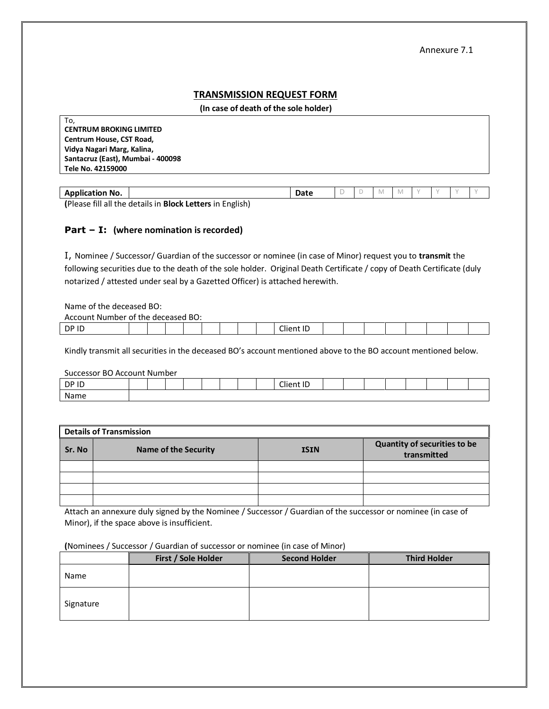## **TRANSMISSION REQUEST FORM**

 **(In case of death of the sole holder)**

| To,                               |  |
|-----------------------------------|--|
| <b>CENTRUM BROKING LIMITED</b>    |  |
| Centrum House, CST Road,          |  |
| Vidya Nagari Marg, Kalina,        |  |
| Santacruz (East), Mumbai - 400098 |  |
| Tele No. 42159000                 |  |
|                                   |  |

| <b>Application No.</b>                                           | Date |  |  |  |  |
|------------------------------------------------------------------|------|--|--|--|--|
| (Please fill all the details in <b>Block Letters</b> in English) |      |  |  |  |  |

## **Part – I: (where nomination is recorded)**

I, Nominee / Successor/ Guardian of the successor or nominee (in case of Minor) request you to **transmit** the following securities due to the death of the sole holder. Original Death Certificate / copy of Death Certificate (duly notarized / attested under seal by a Gazetted Officer) is attached herewith.

Name of the deceased BO:

| BO:<br>. .<br>r of the deceased .<br>Account Number |  |  |  |  |  |  |  |  |                                    |  |  |  |  |  |  |  |  |
|-----------------------------------------------------|--|--|--|--|--|--|--|--|------------------------------------|--|--|--|--|--|--|--|--|
| DP ID                                               |  |  |  |  |  |  |  |  | $\sim$<br>. .<br>lien <sup>+</sup> |  |  |  |  |  |  |  |  |

Kindly transmit all securities in the deceased BO's account mentioned above to the BO account mentioned below.

Successor BO Account Number

| DP ID<br>. . |  |  |  |  | $\sim$<br>$\cdot$ $\cdot$ $\sim$<br>$\cdots$ |  |  |  |  |
|--------------|--|--|--|--|----------------------------------------------|--|--|--|--|
| Name<br>.    |  |  |  |  |                                              |  |  |  |  |

| <b>Details of Transmission</b> |                             |             |                                             |  |  |  |  |  |
|--------------------------------|-----------------------------|-------------|---------------------------------------------|--|--|--|--|--|
| Sr. No                         | <b>Name of the Security</b> | <b>ISIN</b> | Quantity of securities to be<br>transmitted |  |  |  |  |  |
|                                |                             |             |                                             |  |  |  |  |  |
|                                |                             |             |                                             |  |  |  |  |  |
|                                |                             |             |                                             |  |  |  |  |  |
|                                |                             |             |                                             |  |  |  |  |  |

Attach an annexure duly signed by the Nominee / Successor / Guardian of the successor or nominee (in case of Minor), if the space above is insufficient.

## **(**Nominees / Successor / Guardian of successor or nominee (in case of Minor)

|           | First / Sole Holder | <b>Second Holder</b> | <b>Third Holder</b> |
|-----------|---------------------|----------------------|---------------------|
| Name      |                     |                      |                     |
| Signature |                     |                      |                     |